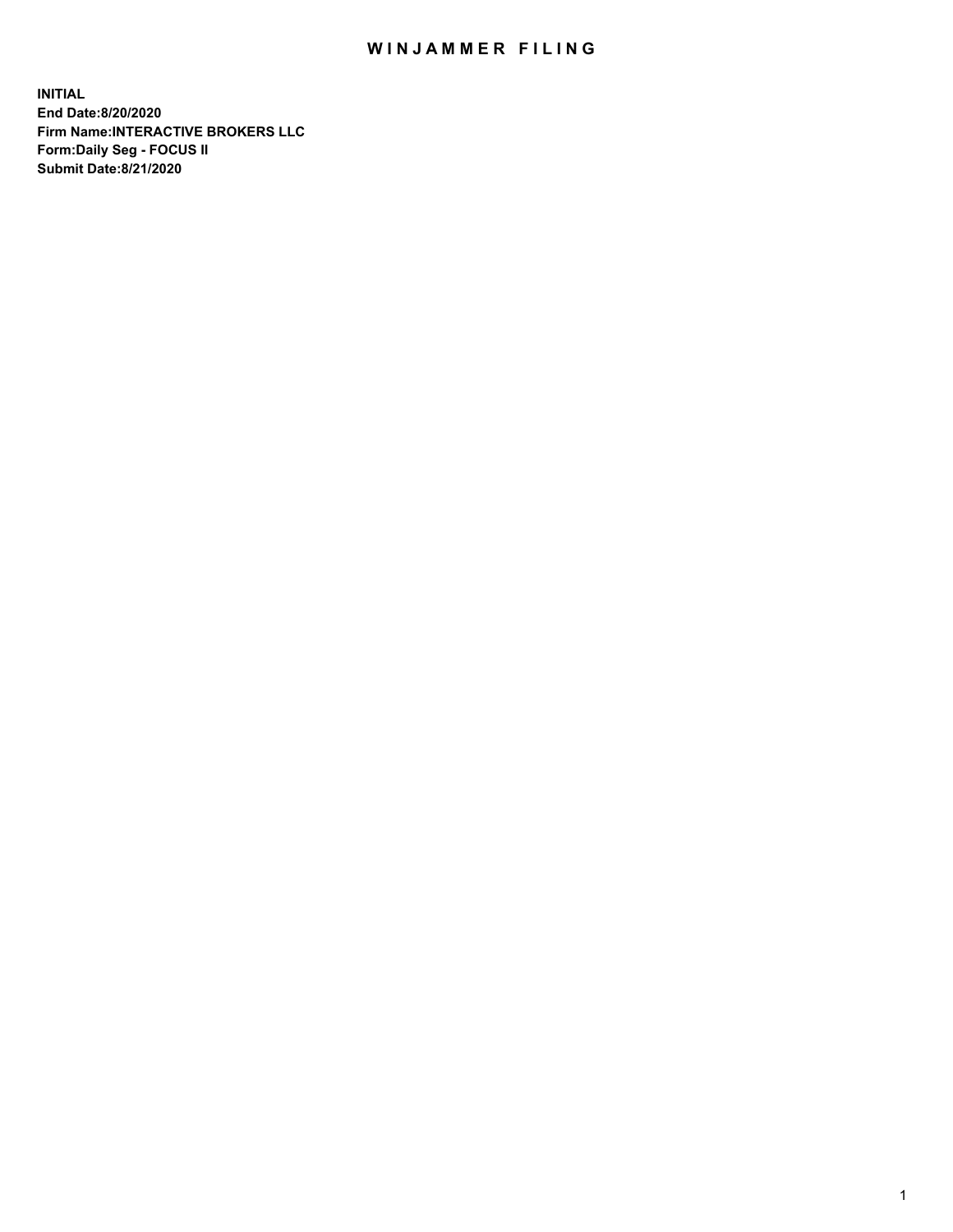## WIN JAMMER FILING

**INITIAL End Date:8/20/2020 Firm Name:INTERACTIVE BROKERS LLC Form:Daily Seg - FOCUS II Submit Date:8/21/2020**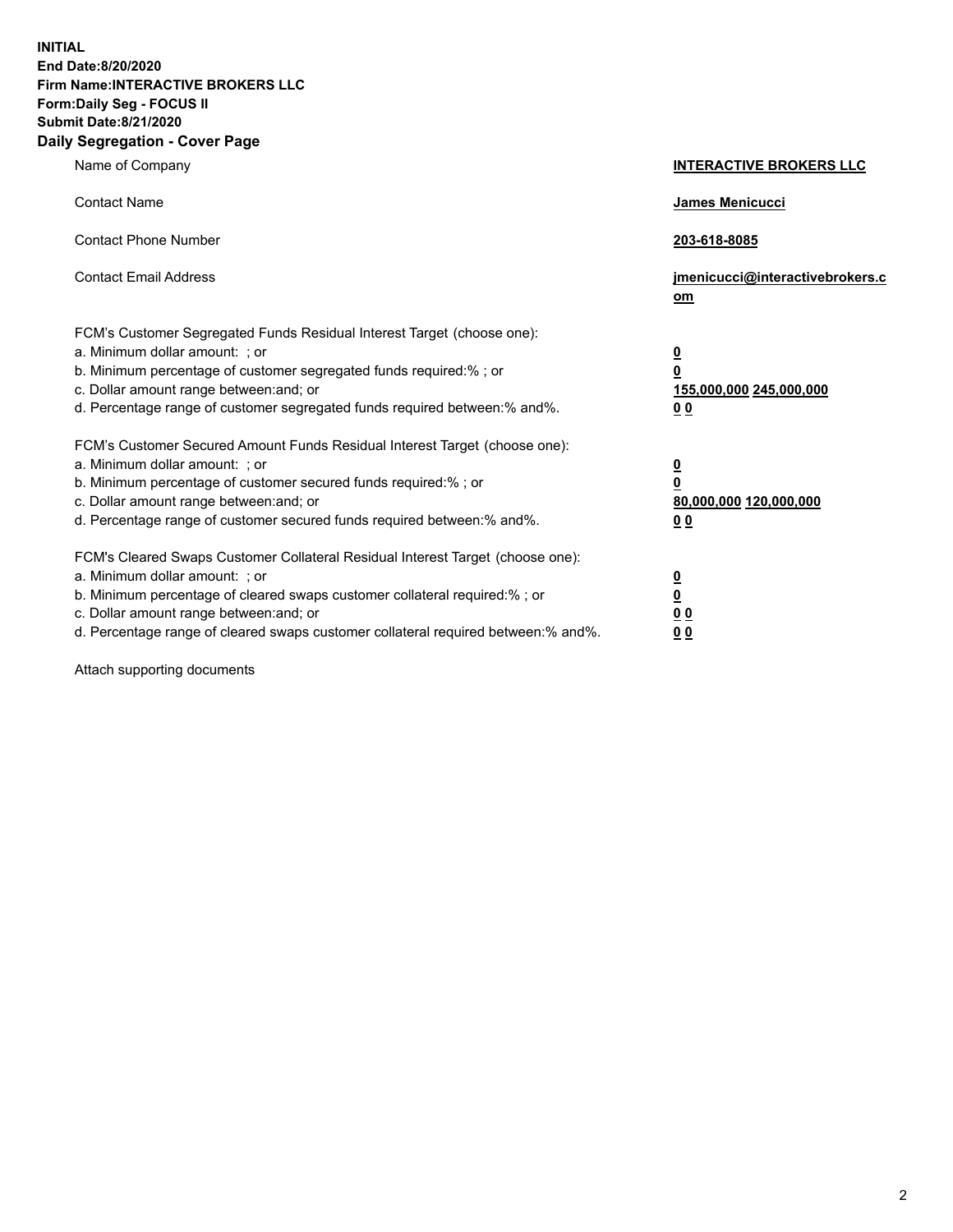**INITIAL End Date:8/20/2020 Firm Name:INTERACTIVE BROKERS LLC Form:Daily Seg - FOCUS II Submit Date:8/21/2020 Daily Segregation - Cover Page**

| Name of Company                                                                                                                                                                                                                                                                                                                | <b>INTERACTIVE BROKERS LLC</b>                                                   |
|--------------------------------------------------------------------------------------------------------------------------------------------------------------------------------------------------------------------------------------------------------------------------------------------------------------------------------|----------------------------------------------------------------------------------|
| <b>Contact Name</b>                                                                                                                                                                                                                                                                                                            | James Menicucci                                                                  |
| <b>Contact Phone Number</b>                                                                                                                                                                                                                                                                                                    | 203-618-8085                                                                     |
| <b>Contact Email Address</b>                                                                                                                                                                                                                                                                                                   | jmenicucci@interactivebrokers.c<br>om                                            |
| FCM's Customer Segregated Funds Residual Interest Target (choose one):<br>a. Minimum dollar amount: ; or<br>b. Minimum percentage of customer segregated funds required:% ; or<br>c. Dollar amount range between: and; or<br>d. Percentage range of customer segregated funds required between:% and%.                         | <u>0</u><br>$\overline{\mathbf{0}}$<br>155,000,000 245,000,000<br>0 <sub>0</sub> |
| FCM's Customer Secured Amount Funds Residual Interest Target (choose one):<br>a. Minimum dollar amount: ; or<br>b. Minimum percentage of customer secured funds required:% ; or<br>c. Dollar amount range between: and; or<br>d. Percentage range of customer secured funds required between:% and%.                           | <u>0</u><br>$\overline{\mathbf{0}}$<br>80,000,000 120,000,000<br>0 <sub>0</sub>  |
| FCM's Cleared Swaps Customer Collateral Residual Interest Target (choose one):<br>a. Minimum dollar amount: ; or<br>b. Minimum percentage of cleared swaps customer collateral required:% ; or<br>c. Dollar amount range between: and; or<br>d. Percentage range of cleared swaps customer collateral required between:% and%. | <u>0</u><br>$\underline{\mathbf{0}}$<br>0 <sub>0</sub><br>0 <sub>0</sub>         |

Attach supporting documents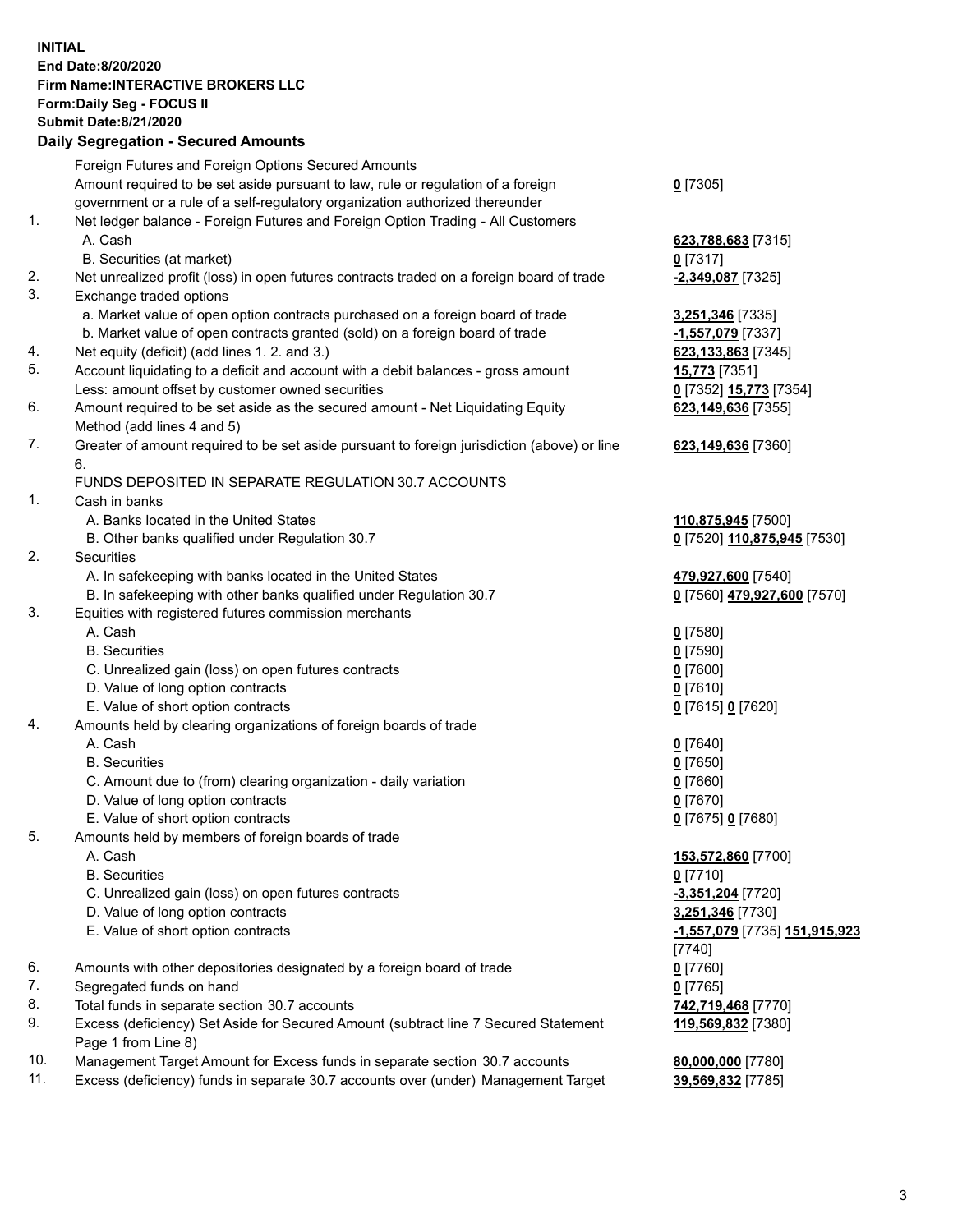**INITIAL End Date:8/20/2020 Firm Name:INTERACTIVE BROKERS LLC Form:Daily Seg - FOCUS II Submit Date:8/21/2020 Daily Segregation - Secured Amounts**

|     | Daily Segregation - Secured Amounts                                                               |                               |
|-----|---------------------------------------------------------------------------------------------------|-------------------------------|
|     | Foreign Futures and Foreign Options Secured Amounts                                               |                               |
|     | Amount required to be set aside pursuant to law, rule or regulation of a foreign                  | $0$ [7305]                    |
|     | government or a rule of a self-regulatory organization authorized thereunder                      |                               |
| 1.  | Net ledger balance - Foreign Futures and Foreign Option Trading - All Customers                   |                               |
|     | A. Cash                                                                                           | 623,788,683 [7315]            |
|     | B. Securities (at market)                                                                         | $0$ [7317]                    |
| 2.  | Net unrealized profit (loss) in open futures contracts traded on a foreign board of trade         | $-2,349,087$ [7325]           |
| 3.  | Exchange traded options                                                                           |                               |
|     | a. Market value of open option contracts purchased on a foreign board of trade                    | 3,251,346 [7335]              |
|     | b. Market value of open contracts granted (sold) on a foreign board of trade                      | -1,557,079 [7337]             |
| 4.  | Net equity (deficit) (add lines 1. 2. and 3.)                                                     | 623,133,863 [7345]            |
| 5.  | Account liquidating to a deficit and account with a debit balances - gross amount                 | 15,773 [7351]                 |
|     | Less: amount offset by customer owned securities                                                  | 0 [7352] 15,773 [7354]        |
| 6.  | Amount required to be set aside as the secured amount - Net Liquidating Equity                    |                               |
|     |                                                                                                   | 623,149,636 [7355]            |
| 7.  | Method (add lines 4 and 5)                                                                        |                               |
|     | Greater of amount required to be set aside pursuant to foreign jurisdiction (above) or line<br>6. | 623,149,636 [7360]            |
|     |                                                                                                   |                               |
| 1.  | FUNDS DEPOSITED IN SEPARATE REGULATION 30.7 ACCOUNTS                                              |                               |
|     | Cash in banks                                                                                     |                               |
|     | A. Banks located in the United States                                                             | 110,875,945 [7500]            |
|     | B. Other banks qualified under Regulation 30.7                                                    | 0 [7520] 110,875,945 [7530]   |
| 2.  | <b>Securities</b>                                                                                 |                               |
|     | A. In safekeeping with banks located in the United States                                         | 479,927,600 [7540]            |
|     | B. In safekeeping with other banks qualified under Regulation 30.7                                | 0 [7560] 479,927,600 [7570]   |
| 3.  | Equities with registered futures commission merchants                                             |                               |
|     | A. Cash                                                                                           | $0$ [7580]                    |
|     | <b>B.</b> Securities                                                                              | $0$ [7590]                    |
|     | C. Unrealized gain (loss) on open futures contracts                                               | $0$ [7600]                    |
|     | D. Value of long option contracts                                                                 | $0$ [7610]                    |
|     | E. Value of short option contracts                                                                | 0 [7615] 0 [7620]             |
| 4.  | Amounts held by clearing organizations of foreign boards of trade                                 |                               |
|     | A. Cash                                                                                           | $0$ [7640]                    |
|     | <b>B.</b> Securities                                                                              | $0$ [7650]                    |
|     | C. Amount due to (from) clearing organization - daily variation                                   | $0$ [7660]                    |
|     | D. Value of long option contracts                                                                 | $0$ [7670]                    |
|     | E. Value of short option contracts                                                                | 0 [7675] 0 [7680]             |
| 5.  | Amounts held by members of foreign boards of trade                                                |                               |
|     | A. Cash                                                                                           | 153,572,860 [7700]            |
|     | <b>B.</b> Securities                                                                              | $0$ [7710]                    |
|     | C. Unrealized gain (loss) on open futures contracts                                               | -3,351,204 [7720]             |
|     | D. Value of long option contracts                                                                 | 3,251,346 [7730]              |
|     | E. Value of short option contracts                                                                | -1,557,079 [7735] 151,915,923 |
|     |                                                                                                   | $[7740]$                      |
| 6.  | Amounts with other depositories designated by a foreign board of trade                            | $0$ [7760]                    |
| 7.  | Segregated funds on hand                                                                          | $0$ [7765]                    |
| 8.  | Total funds in separate section 30.7 accounts                                                     | 742,719,468 [7770]            |
| 9.  | Excess (deficiency) Set Aside for Secured Amount (subtract line 7 Secured Statement               | 119,569,832 [7380]            |
|     | Page 1 from Line 8)                                                                               |                               |
| 10. | Management Target Amount for Excess funds in separate section 30.7 accounts                       | 80,000,000 [7780]             |
| 11. | Excess (deficiency) funds in separate 30.7 accounts over (under) Management Target                | 39,569,832 [7785]             |
|     |                                                                                                   |                               |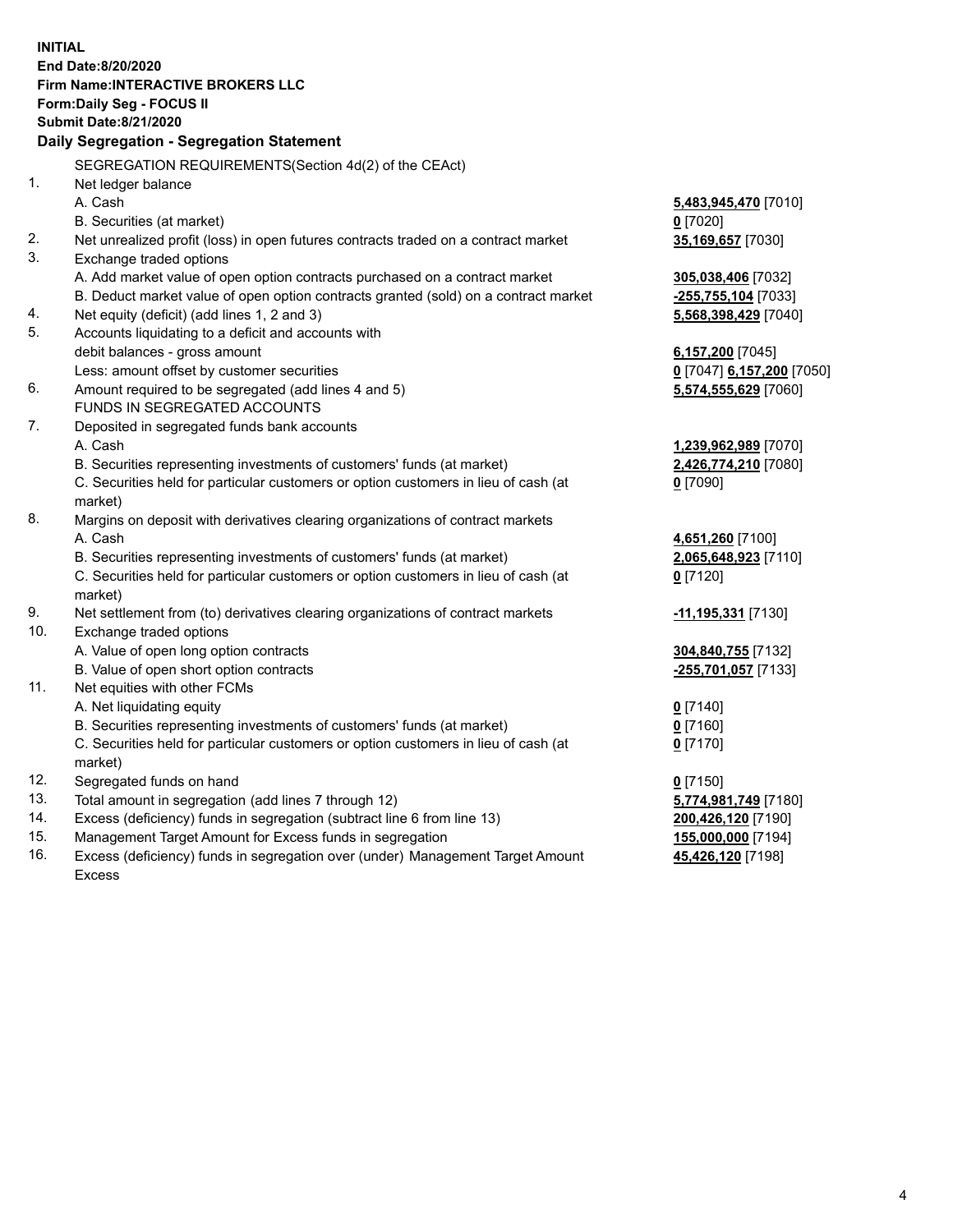**INITIAL End Date:8/20/2020 Firm Name:INTERACTIVE BROKERS LLC Form:Daily Seg - FOCUS II Submit Date:8/21/2020 Daily Segregation - Segregation Statement** SEGREGATION REQUIREMENTS(Section 4d(2) of the CEAct) 1. Net ledger balance A. Cash **5,483,945,470** [7010] B. Securities (at market) **0** [7020] 2. Net unrealized profit (loss) in open futures contracts traded on a contract market **35,169,657** [7030] 3. Exchange traded options A. Add market value of open option contracts purchased on a contract market **305,038,406** [7032] B. Deduct market value of open option contracts granted (sold) on a contract market **-255,755,104** [7033] 4. Net equity (deficit) (add lines 1, 2 and 3) **5,568,398,429** [7040] 5. Accounts liquidating to a deficit and accounts with debit balances - gross amount **6,157,200** [7045] Less: amount offset by customer securities **0** [7047] **6,157,200** [7050] 6. Amount required to be segregated (add lines 4 and 5) **5,574,555,629** [7060] FUNDS IN SEGREGATED ACCOUNTS 7. Deposited in segregated funds bank accounts A. Cash **1,239,962,989** [7070] B. Securities representing investments of customers' funds (at market) **2,426,774,210** [7080] C. Securities held for particular customers or option customers in lieu of cash (at market) **0** [7090] 8. Margins on deposit with derivatives clearing organizations of contract markets A. Cash **4,651,260** [7100] B. Securities representing investments of customers' funds (at market) **2,065,648,923** [7110] C. Securities held for particular customers or option customers in lieu of cash (at market) **0** [7120] 9. Net settlement from (to) derivatives clearing organizations of contract markets **-11,195,331** [7130] 10. Exchange traded options A. Value of open long option contracts **304,840,755** [7132] B. Value of open short option contracts **-255,701,057** [7133] 11. Net equities with other FCMs A. Net liquidating equity **0** [7140] B. Securities representing investments of customers' funds (at market) **0** [7160] C. Securities held for particular customers or option customers in lieu of cash (at market) **0** [7170] 12. Segregated funds on hand **0** [7150] 13. Total amount in segregation (add lines 7 through 12) **5,774,981,749** [7180] 14. Excess (deficiency) funds in segregation (subtract line 6 from line 13) **200,426,120** [7190] 15. Management Target Amount for Excess funds in segregation **155,000,000** [7194] 16. Excess (deficiency) funds in segregation over (under) Management Target Amount **45,426,120** [7198]

Excess